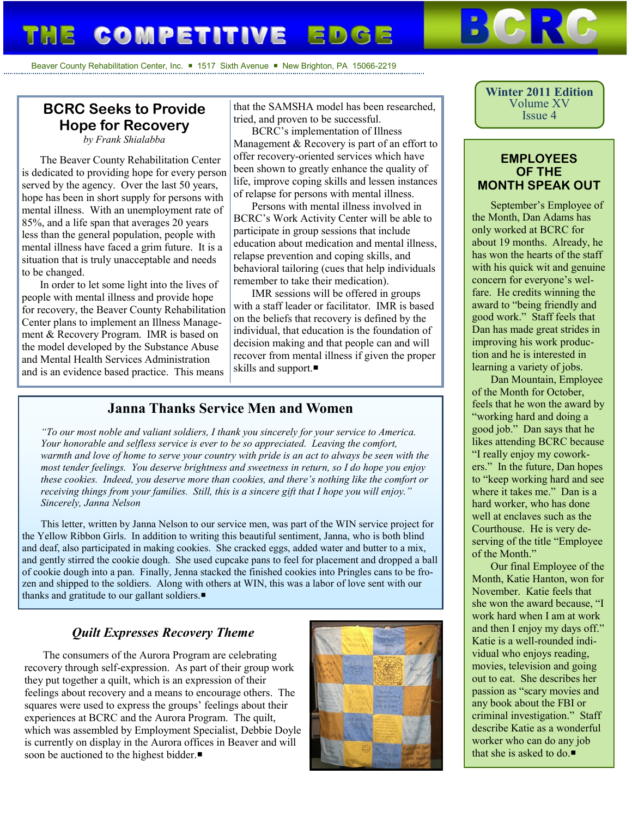# **COMPETITIVE EDGE**

Beaver County Rehabilitation Center, Inc. 1517 Sixth Avenue New Brighton, PA 15066-2219

# **BCRC Seeks to Provide Hope for Recovery**

*by Frank Shialabba*

The Beaver County Rehabilitation Center is dedicated to providing hope for every person served by the agency. Over the last 50 years, hope has been in short supply for persons with mental illness. With an unemployment rate of 85%, and a life span that averages 20 years less than the general population, people with mental illness have faced a grim future. It is a situation that is truly unacceptable and needs to be changed.

In order to let some light into the lives of people with mental illness and provide hope for recovery, the Beaver County Rehabilitation Center plans to implement an Illness Management & Recovery Program. IMR is based on the model developed by the Substance Abuse and Mental Health Services Administration and is an evidence based practice. This means

that the SAMSHA model has been researched, tried, and proven to be successful.

BCRC's implementation of Illness Management & Recovery is part of an effort to offer recovery-oriented services which have been shown to greatly enhance the quality of life, improve coping skills and lessen instances of relapse for persons with mental illness.

Persons with mental illness involved in BCRC's Work Activity Center will be able to participate in group sessions that include education about medication and mental illness, relapse prevention and coping skills, and behavioral tailoring (cues that help individuals remember to take their medication).

IMR sessions will be offered in groups with a staff leader or facilitator. IMR is based on the beliefs that recovery is defined by the individual, that education is the foundation of decision making and that people can and will recover from mental illness if given the proper skills and support.

## **Janna Thanks Service Men and Women**

*"To our most noble and valiant soldiers, I thank you sincerely for your service to America. Your honorable and selfless service is ever to be so appreciated. Leaving the comfort, warmth and love of home to serve your country with pride is an act to always be seen with the most tender feelings. You deserve brightness and sweetness in return, so I do hope you enjoy these cookies. Indeed, you deserve more than cookies, and there's nothing like the comfort or receiving things from your families. Still, this is a sincere gift that I hope you will enjoy." Sincerely, Janna Nelson*

This letter, written by Janna Nelson to our service men, was part of the WIN service project for the Yellow Ribbon Girls. In addition to writing this beautiful sentiment, Janna, who is both blind and deaf, also participated in making cookies. She cracked eggs, added water and butter to a mix, and gently stirred the cookie dough. She used cupcake pans to feel for placement and dropped a ball of cookie dough into a pan. Finally, Jenna stacked the finished cookies into Pringles cans to be frozen and shipped to the soldiers. Along with others at WIN, this was a labor of love sent with our thanks and gratitude to our gallant soldiers.

### *Quilt Expresses Recovery Theme*

The consumers of the Aurora Program are celebrating recovery through self-expression. As part of their group work they put together a quilt, which is an expression of their feelings about recovery and a means to encourage others. The squares were used to express the groups' feelings about their experiences at BCRC and the Aurora Program. The quilt, which was assembled by Employment Specialist, Debbie Doyle is currently on display in the Aurora offices in Beaver and will soon be auctioned to the highest bidder.



**Winter 2011 Edition** Volume XV Issue 4

#### **EMPLOYEES OF THE MONTH SPEAK OUT**

September's Employee of the Month, Dan Adams has only worked at BCRC for about 19 months. Already, he has won the hearts of the staff with his quick wit and genuine concern for everyone's welfare. He credits winning the award to "being friendly and good work." Staff feels that Dan has made great strides in improving his work production and he is interested in learning a variety of jobs.

Dan Mountain, Employee of the Month for October, feels that he won the award by "working hard and doing a good job." Dan says that he likes attending BCRC because "I really enjoy my coworkers." In the future, Dan hopes to "keep working hard and see where it takes me." Dan is a hard worker, who has done well at enclaves such as the Courthouse. He is very deserving of the title "Employee of the Month."

Our final Employee of the Month, Katie Hanton, won for November. Katie feels that she won the award because, "I work hard when I am at work and then I enjoy my days off." Katie is a well-rounded individual who enjoys reading, movies, television and going out to eat. She describes her passion as "scary movies and any book about the FBI or criminal investigation." Staff describe Katie as a wonderful worker who can do any job that she is asked to do. $\blacksquare$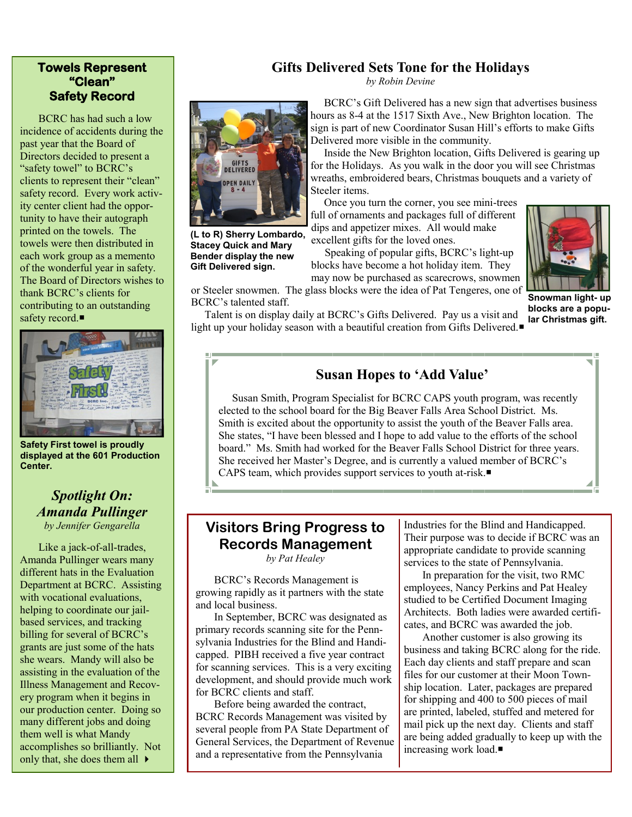### **Towels Represent "Clean" Safety Record**

BCRC has had such a low incidence of accidents during the past year that the Board of Directors decided to present a "safety towel" to BCRC's clients to represent their "clean" safety record. Every work activity center client had the opportunity to have their autograph printed on the towels. The towels were then distributed in each work group as a memento of the wonderful year in safety. The Board of Directors wishes to thank BCRC's clients for contributing to an outstanding safety record.■



**Safety First towel is proudly displayed at the 601 Production Center.**

### *Spotlight On: Amanda Pullinger by Jennifer Gengarella*

Like a jack-of-all-trades, Amanda Pullinger wears many different hats in the Evaluation Department at BCRC. Assisting with vocational evaluations, helping to coordinate our jailbased services, and tracking billing for several of BCRC's grants are just some of the hats she wears. Mandy will also be assisting in the evaluation of the Illness Management and Recovery program when it begins in our production center. Doing so many different jobs and doing them well is what Mandy accomplishes so brilliantly. Not only that, she does them all  $\rightarrow$ 

## **Gifts Delivered Sets Tone for the Holidays**

*by Robin Devine*



**(L to R) Sherry Lombardo, Stacey Quick and Mary Bender display the new Gift Delivered sign.**

 BCRC's Gift Delivered has a new sign that advertises business hours as 8-4 at the 1517 Sixth Ave., New Brighton location. The sign is part of new Coordinator Susan Hill's efforts to make Gifts Delivered more visible in the community.

 Inside the New Brighton location, Gifts Delivered is gearing up for the Holidays. As you walk in the door you will see Christmas wreaths, embroidered bears, Christmas bouquets and a variety of Steeler items.

 Once you turn the corner, you see mini-trees full of ornaments and packages full of different dips and appetizer mixes. All would make excellent gifts for the loved ones.

 Speaking of popular gifts, BCRC's light-up blocks have become a hot holiday item. They may now be purchased as scarecrows, snowmen



or Steeler snowmen. The glass blocks were the idea of Pat Tengeres, one of **Snowman light- up blocks are a popular Christmas gift.**

BCRC's talented staff. Talent is on display daily at BCRC's Gifts Delivered. Pay us a visit and light up your holiday season with a beautiful creation from Gifts Delivered.

# **Susan Hopes to 'Add Value'**

Susan Smith, Program Specialist for BCRC CAPS youth program, was recently elected to the school board for the Big Beaver Falls Area School District. Ms. Smith is excited about the opportunity to assist the youth of the Beaver Falls area. She states, "I have been blessed and I hope to add value to the efforts of the school board." Ms. Smith had worked for the Beaver Falls School District for three years. She received her Master's Degree, and is currently a valued member of BCRC's CAPS team, which provides support services to youth at-risk.

# **Visitors Bring Progress to Records Management**

*by Pat Healey*

BCRC's Records Management is growing rapidly as it partners with the state and local business.

In September, BCRC was designated as primary records scanning site for the Pennsylvania Industries for the Blind and Handicapped. PIBH received a five year contract for scanning services. This is a very exciting development, and should provide much work for BCRC clients and staff.

Before being awarded the contract, BCRC Records Management was visited by several people from PA State Department of General Services, the Department of Revenue and a representative from the Pennsylvania

Industries for the Blind and Handicapped. Their purpose was to decide if BCRC was an appropriate candidate to provide scanning services to the state of Pennsylvania.

In preparation for the visit, two RMC employees, Nancy Perkins and Pat Healey studied to be Certified Document Imaging Architects. Both ladies were awarded certificates, and BCRC was awarded the job.

Another customer is also growing its business and taking BCRC along for the ride. Each day clients and staff prepare and scan files for our customer at their Moon Township location. Later, packages are prepared for shipping and 400 to 500 pieces of mail are printed, labeled, stuffed and metered for mail pick up the next day. Clients and staff are being added gradually to keep up with the increasing work load.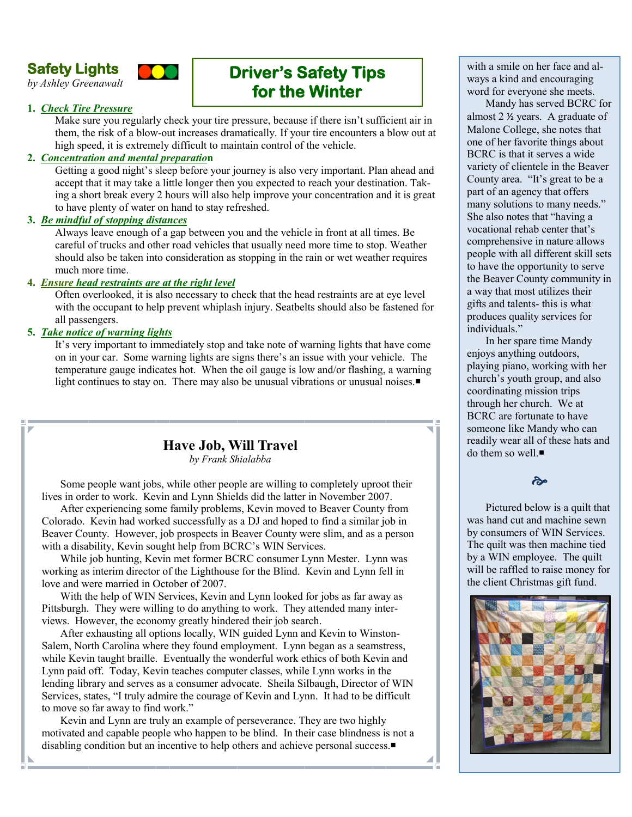# **Safety Lights**

*by Ashley Greenawalt*



# **Driver's Safety Tips for the Winter**

#### **1.** *Check Tire Pressure*

Make sure you regularly check your tire pressure, because if there isn't sufficient air in them, the risk of a blow-out increases dramatically. If your tire encounters a blow out at high speed, it is extremely difficult to maintain control of the vehicle.

#### **2.** *Concentration and mental preparatio***n**

Getting a good night's sleep before your journey is also very important. Plan ahead and accept that it may take a little longer then you expected to reach your destination. Taking a short break every 2 hours will also help improve your concentration and it is great to have plenty of water on hand to stay refreshed.

#### **3.** *Be mindful of stopping distances*

Always leave enough of a gap between you and the vehicle in front at all times. Be careful of trucks and other road vehicles that usually need more time to stop. Weather should also be taken into consideration as stopping in the rain or wet weather requires much more time.

#### **4.** *Ensure head restraints are at the right level*

Often overlooked, it is also necessary to check that the head restraints are at eye level with the occupant to help prevent whiplash injury. Seatbelts should also be fastened for all passengers.

#### **5.** *Take notice of warning lights*

It's very important to immediately stop and take note of warning lights that have come on in your car. Some warning lights are signs there's an issue with your vehicle. The temperature gauge indicates hot. When the oil gauge is low and/or flashing, a warning light continues to stay on. There may also be unusual vibrations or unusual noises.

# **Have Job, Will Travel**

*by Frank Shialabba*

Some people want jobs, while other people are willing to completely uproot their lives in order to work. Kevin and Lynn Shields did the latter in November 2007.

After experiencing some family problems, Kevin moved to Beaver County from Colorado. Kevin had worked successfully as a DJ and hoped to find a similar job in Beaver County. However, job prospects in Beaver County were slim, and as a person with a disability, Kevin sought help from BCRC's WIN Services.

While job hunting, Kevin met former BCRC consumer Lynn Mester. Lynn was working as interim director of the Lighthouse for the Blind. Kevin and Lynn fell in love and were married in October of 2007.

With the help of WIN Services, Kevin and Lynn looked for jobs as far away as Pittsburgh. They were willing to do anything to work. They attended many interviews. However, the economy greatly hindered their job search.

After exhausting all options locally, WIN guided Lynn and Kevin to Winston-Salem, North Carolina where they found employment. Lynn began as a seamstress, while Kevin taught braille. Eventually the wonderful work ethics of both Kevin and Lynn paid off. Today, Kevin teaches computer classes, while Lynn works in the lending library and serves as a consumer advocate. Sheila Silbaugh, Director of WIN Services, states, "I truly admire the courage of Kevin and Lynn. It had to be difficult to move so far away to find work."

Kevin and Lynn are truly an example of perseverance. They are two highly motivated and capable people who happen to be blind. In their case blindness is not a disabling condition but an incentive to help others and achieve personal success.

with a smile on her face and always a kind and encouraging word for everyone she meets.

Mandy has served BCRC for almost 2 ½ years. A graduate of Malone College, she notes that one of her favorite things about BCRC is that it serves a wide variety of clientele in the Beaver County area. "It's great to be a part of an agency that offers many solutions to many needs." She also notes that "having a vocational rehab center that's comprehensive in nature allows people with all different skill sets to have the opportunity to serve the Beaver County community in a way that most utilizes their gifts and talents- this is what produces quality services for individuals."

In her spare time Mandy enjoys anything outdoors, playing piano, working with her church's youth group, and also coordinating mission trips through her church. We at BCRC are fortunate to have someone like Mandy who can readily wear all of these hats and do them so well.

# ૡ

Pictured below is a quilt that was hand cut and machine sewn by consumers of WIN Services. The quilt was then machine tied by a WIN employee. The quilt will be raffled to raise money for the client Christmas gift fund.